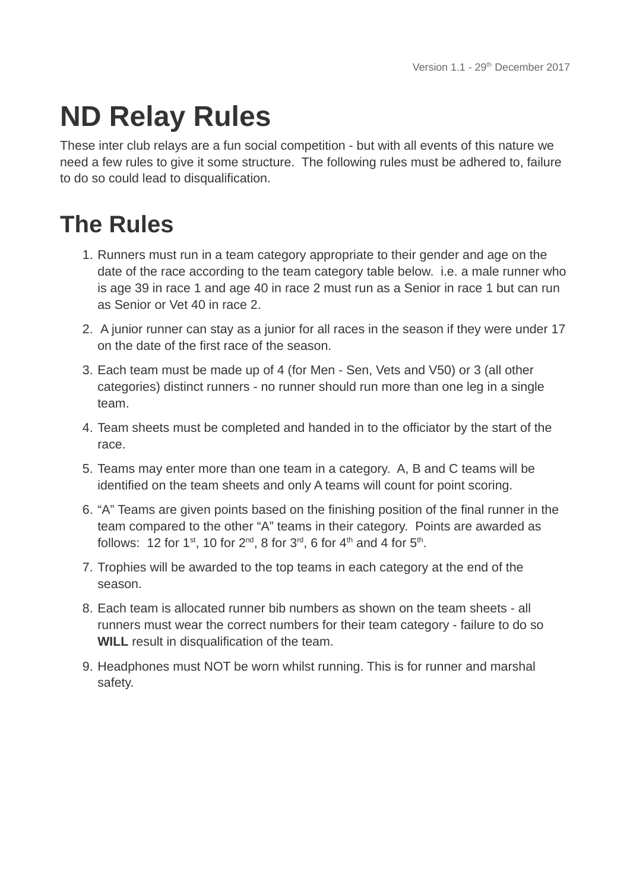## **ND Relay Rules**

These inter club relays are a fun social competition - but with all events of this nature we need a few rules to give it some structure. The following rules must be adhered to, failure to do so could lead to disqualification.

## **The Rules**

- 1. Runners must run in a team category appropriate to their gender and age on the date of the race according to the team category table below. i.e. a male runner who is age 39 in race 1 and age 40 in race 2 must run as a Senior in race 1 but can run as Senior or Vet 40 in race 2.
- 2. A junior runner can stay as a junior for all races in the season if they were under 17 on the date of the first race of the season.
- 3. Each team must be made up of 4 (for Men Sen, Vets and V50) or 3 (all other categories) distinct runners - no runner should run more than one leg in a single team.
- 4. Team sheets must be completed and handed in to the officiator by the start of the race.
- 5. Teams may enter more than one team in a category. A, B and C teams will be identified on the team sheets and only A teams will count for point scoring.
- 6. "A" Teams are given points based on the finishing position of the final runner in the team compared to the other "A" teams in their category. Points are awarded as follows: 12 for  $1^{st}$ , 10 for  $2^{nd}$ , 8 for  $3^{rd}$ , 6 for  $4^{th}$  and 4 for  $5^{th}$ .
- 7. Trophies will be awarded to the top teams in each category at the end of the season.
- 8. Each team is allocated runner bib numbers as shown on the team sheets all runners must wear the correct numbers for their team category - failure to do so **WILL** result in disqualification of the team.
- 9. Headphones must NOT be worn whilst running. This is for runner and marshal safety.